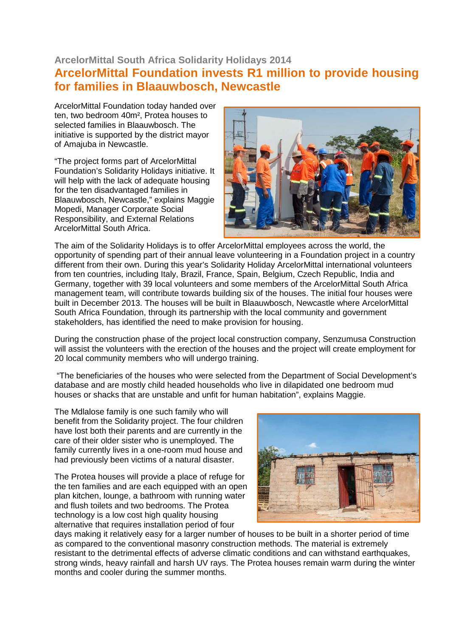## **ArcelorMittal South Africa Solidarity Holidays 2014 ArcelorMittal Foundation invests R1 million to provide housing for families in Blaauwbosch, Newcastle**

ArcelorMittal Foundation today handed over ten, two bedroom 40m², Protea houses to selected families in Blaauwbosch. The initiative is supported by the district mayor of Amajuba in Newcastle.

"The project forms part of ArcelorMittal Foundation's Solidarity Holidays initiative. It will help with the lack of adequate housing for the ten disadvantaged families in Blaauwbosch, Newcastle," explains Maggie Mopedi, Manager Corporate Social Responsibility, and External Relations ArcelorMittal South Africa.



The aim of the Solidarity Holidays is to offer ArcelorMittal employees across the world, the opportunity of spending part of their annual leave volunteering in a Foundation project in a country different from their own. During this year's Solidarity Holiday ArcelorMittal international volunteers from ten countries, including Italy, Brazil, France, Spain, Belgium, Czech Republic, India and Germany, together with 39 local volunteers and some members of the ArcelorMittal South Africa management team, will contribute towards building six of the houses. The initial four houses were built in December 2013. The houses will be built in Blaauwbosch, Newcastle where ArcelorMittal South Africa Foundation, through its partnership with the local community and government stakeholders, has identified the need to make provision for housing.

During the construction phase of the project local construction company, Senzumusa Construction will assist the volunteers with the erection of the houses and the project will create employment for 20 local community members who will undergo training.

 "The beneficiaries of the houses who were selected from the Department of Social Development's database and are mostly child headed households who live in dilapidated one bedroom mud houses or shacks that are unstable and unfit for human habitation", explains Maggie.

The Mdlalose family is one such family who will benefit from the Solidarity project. The four children have lost both their parents and are currently in the care of their older sister who is unemployed. The family currently lives in a one-room mud house and had previously been victims of a natural disaster.

The Protea houses will provide a place of refuge for the ten families and are each equipped with an open plan kitchen, lounge, a bathroom with running water and flush toilets and two bedrooms. The Protea technology is a low cost high quality housing alternative that requires installation period of four



days making it relatively easy for a larger number of houses to be built in a shorter period of time as compared to the conventional masonry construction methods. The material is extremely resistant to the detrimental effects of adverse climatic conditions and can withstand earthquakes, strong winds, heavy rainfall and harsh UV rays. The Protea houses remain warm during the winter months and cooler during the summer months.